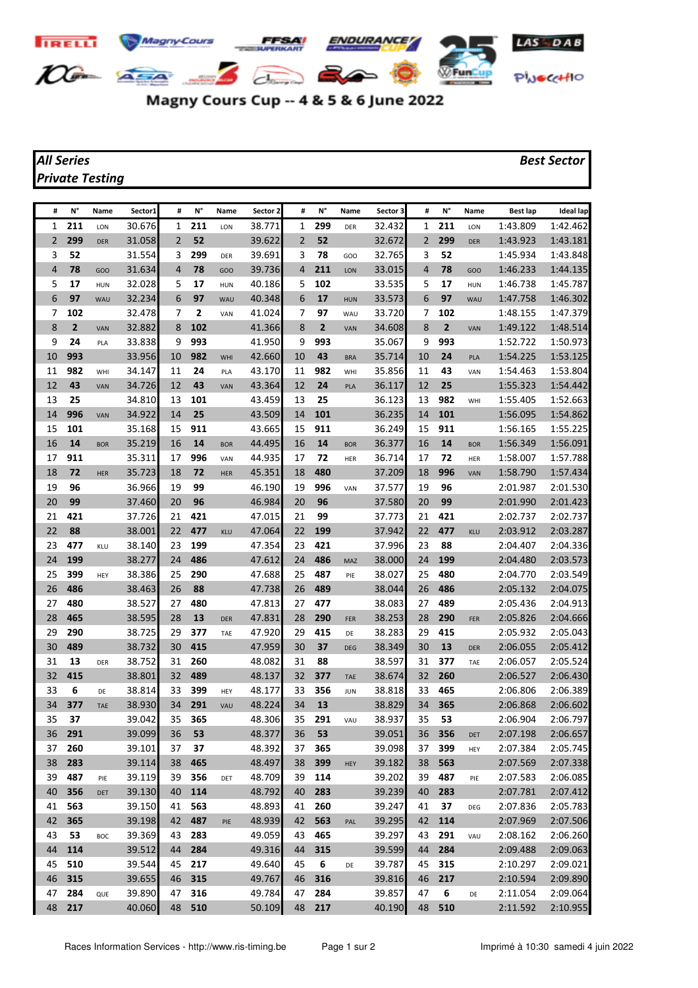

## Magny Cours Cup -- 4 & 5 & 6 June 2022

## *Private Testing*

## *All Series Best Sector*

| #        | N°           | Name             | Sector1          | #              | N°         | Name       | Sector 2         | #        | N°             | Name       | Sector 3         | #              | N°             | Name       | <b>Best lap</b>      | <b>Ideal lap</b>     |
|----------|--------------|------------------|------------------|----------------|------------|------------|------------------|----------|----------------|------------|------------------|----------------|----------------|------------|----------------------|----------------------|
| 1        | 211          | LON              | 30.676           | 1              | 211        | LON        | 38.771           | 1        | 299            | DER        | 32.432           | 1              | 211            | LON        | 1:43.809             | 1:42.462             |
| 2        | 299          | <b>DER</b>       | 31.058           | $\overline{2}$ | 52         |            | 39.622           | 2        | 52             |            | 32.672           | $\overline{2}$ | 299            | <b>DER</b> | 1:43.923             | 1:43.181             |
| 3        | 52           |                  | 31.554           | 3              | 299        | DER        | 39.691           | 3        | 78             | GOO        | 32.765           | 3              | 52             |            | 1:45.934             | 1:43.848             |
| 4        | 78           | GOO              | 31.634           | 4              | 78         | GOO        | 39.736           | 4        | 211            | LON        | 33.015           | 4              | 78             | GOO        | 1:46.233             | 1:44.135             |
| 5        | 17           | <b>HUN</b>       | 32.028           | 5              | 17         | HUN        | 40.186           | 5        | 102            |            | 33.535           | 5              | 17             | <b>HUN</b> | 1:46.738             | 1:45.787             |
| 6        | 97           | <b>WAU</b>       | 32.234           | 6              | 97         | WAU        | 40.348           | 6        | 17             | <b>HUN</b> | 33.573           | 6              | 97             | WAU        | 1:47.758             | 1:46.302             |
| 7        | 102          |                  | 32.478           | 7              | 2          | VAN        | 41.024           | 7        | 97             | WAU        | 33.720           | 7              | 102            |            | 1:48.155             | 1:47.379             |
| 8        | $\mathbf{2}$ | VAN              | 32.882           | 8              | 102        |            | 41.366           | 8        | $\overline{2}$ | VAN        | 34.608           | 8              | $\overline{2}$ | VAN        | 1:49.122             | 1:48.514             |
| 9        | 24           | PLA              | 33.838           | 9              | 993        |            | 41.950           | 9        | 993            |            | 35.067           | 9              | 993            |            | 1:52.722             | 1:50.973             |
| 10       | 993          |                  | 33.956           | 10             | 982        | WHI        | 42.660           | 10       | 43             | <b>BRA</b> | 35.714           | 10             | 24             | PLA        | 1:54.225             | 1:53.125             |
| 11       | 982          | WHI              | 34.147           | 11             | 24         | PLA        | 43.170           | 11       | 982            | WHI        | 35.856           | 11             | 43             | VAN        | 1:54.463             | 1:53.804             |
| 12       | 43           | VAN              | 34.726           | 12             | 43         | VAN        | 43.364           | 12       | 24             | PLA        | 36.117           | 12             | 25             |            | 1:55.323             | 1:54.442             |
| 13       | 25           |                  | 34.810           | 13             | 101        |            | 43.459           | 13       | 25             |            | 36.123           | 13             | 982            | WHI        | 1:55.405             | 1:52.663             |
| 14       | 996          | VAN              | 34.922           | 14             | 25         |            | 43.509           | 14       | 101            |            | 36.235           | 14             | 101            |            | 1:56.095             | 1:54.862             |
| 15       | 101          |                  | 35.168           | 15             | 911        |            | 43.665           | 15       | 911            |            | 36.249           | 15             | 911            |            | 1:56.165             | 1:55.225             |
| 16       | 14           | <b>BOR</b>       | 35.219           | 16             | 14         | <b>BOR</b> | 44.495           | 16       | 14             | <b>BOR</b> | 36.377           | 16             | 14             | <b>BOR</b> | 1:56.349             | 1:56.091             |
| 17       | 911          |                  | 35.311           | 17             | 996        | VAN        | 44.935           | 17       | 72             | HER        | 36.714           | 17             | 72             | HER        | 1:58.007             | 1:57.788             |
| 18       | 72           | <b>HER</b>       | 35.723           | 18             | 72         | <b>HER</b> | 45.351           | 18       | 480            |            | 37.209           | 18             | 996            | VAN        | 1:58.790             | 1:57.434             |
| 19       | 96           |                  | 36.966           | 19             | 99         |            | 46.190           | 19       | 996            | VAN        | 37.577           | 19             | 96             |            | 2:01.987             | 2:01.530             |
| 20       | 99           |                  | 37.460           | 20             | 96         |            | 46.984           | 20       | 96             |            | 37.580           | 20             | 99             |            | 2:01.990             | 2:01.423             |
| 21       | 421          |                  | 37.726           | 21             | 421        |            | 47.015           | 21       | 99             |            | 37.773           | 21             | 421            |            | 2:02.737             | 2:02.737             |
| 22       | 88           |                  | 38.001           | 22             | 477        | <b>KLU</b> | 47.064           | 22       | 199            |            | 37.942           | 22             | 477            | <b>KLU</b> | 2:03.912             | 2:03.287             |
| 23       | 477          | KLU              | 38.140           | 23             | 199        |            | 47.354           | 23       | 421            |            | 37.996           | 23             | 88             |            | 2:04.407             | 2:04.336             |
| 24       | 199          |                  | 38.277           | 24             | 486        |            | 47.612           | 24       | 486            | MAZ        | 38.000           | 24             | 199            |            | 2:04.480             | 2:03.573             |
| 25       | 399          | HEY              | 38.386           | 25             | 290        |            | 47.688           | 25       | 487            | PIE        | 38.027           | 25             | 480            |            | 2:04.770             | 2:03.549             |
| 26       | 486          |                  | 38.463           | 26             | 88         |            | 47.738           | 26       | 489            |            | 38.044           | 26             | 486            |            | 2:05.132             | 2:04.075             |
| 27       | 480          |                  | 38.527           | 27             | 480        |            | 47.813           | 27       | 477            |            | 38.083           | 27             | 489            |            | 2:05.436             | 2:04.913             |
| 28       | 465          |                  | 38.595           | 28             | 13         | <b>DER</b> | 47.831           | 28       | 290            | FER        | 38.253           | 28             | 290            | FER        | 2:05.826             | 2:04.666             |
| 29       | 290<br>489   |                  | 38.725           | 29<br>30       | 377<br>415 | TAE        | 47.920           | 29<br>30 | 415<br>37      | DE         | 38.283           | 29<br>30       | 415<br>13      |            | 2:05.932             | 2:05.043             |
| 30<br>31 | 13           |                  | 38.732<br>38.752 | 31             | 260        |            | 47.959<br>48.082 | 31       | 88             | DEG        | 38.349<br>38.597 |                | 377            | <b>DER</b> | 2:06.055<br>2:06.057 | 2:05.412<br>2:05.524 |
| 32       | 415          | DER              | 38.801           | 32             | 489        |            | 48.137           | 32       | 377            | <b>TAE</b> | 38.674           | 31<br>32       | 260            | TAE        | 2:06.527             | 2:06.430             |
| 33       | 6            |                  | 38.814           | 33             | 399        |            | 48.177           | 33       | 356            | <b>JUN</b> | 38.818           | 33             | 465            |            | 2:06.806             | 2:06.389             |
| 34       | 377          | DE<br><b>TAE</b> | 38.930           | 34             | 291        | HEY<br>VAU | 48.224           | 34       | 13             |            | 38.829           | 34             | 365            |            | 2:06.868             | 2:06.602             |
| 35       | 37           |                  | 39.042           | 35             | 365        |            | 48.306           | 35       | 291            | VAU        | 38.937           | 35             | 53             |            | 2:06.904             | 2:06.797             |
| 36       | 291          |                  | 39.099           | 36             | 53         |            | 48.377           | 36       | 53             |            | 39.051           | 36             | 356            | DET        | 2:07.198             | 2:06.657             |
| 37       | 260          |                  | 39.101           | 37             | 37         |            | 48.392           | 37       | 365            |            | 39.098           | 37             | 399            | HEY        | 2:07.384             | 2:05.745             |
| 38       | 283          |                  | 39.114           | 38             | 465        |            | 48.497           | 38       | 399            | HEY        | 39.182           | 38             | 563            |            | 2:07.569             | 2:07.338             |
| 39       | 487          | PIE              | 39.119           | 39             | 356        | DET        | 48.709           | 39       | 114            |            | 39.202           | 39             | 487            | PIE        | 2:07.583             | 2:06.085             |
| 40       | 356          | DET              | 39.130           | 40             | 114        |            | 48.792           | 40       | 283            |            | 39.239           | 40             | 283            |            | 2:07.781             | 2:07.412             |
| 41       | 563          |                  | 39.150           | 41             | 563        |            | 48.893           | 41       | 260            |            | 39.247           | 41             | 37             | DEG        | 2:07.836             | 2:05.783             |
| 42       | 365          |                  | 39.198           | 42             | 487        | PIE        | 48.939           | 42       | 563            | PAL        | 39.295           | 42             | 114            |            | 2:07.969             | 2:07.506             |
| 43       | 53           | BOC              | 39.369           | 43             | 283        |            | 49.059           | 43       | 465            |            | 39.297           | 43             | 291            | VAU        | 2:08.162             | 2:06.260             |
| 44       | 114          |                  | 39.512           | 44             | 284        |            | 49.316           | 44       | 315            |            | 39.599           | 44             | 284            |            | 2:09.488             | 2:09.063             |
| 45       | 510          |                  | 39.544           | 45             | 217        |            | 49.640           | 45       | 6              | DE         | 39.787           | 45             | 315            |            | 2:10.297             | 2:09.021             |
| 46       | 315          |                  | 39.655           | 46             | 315        |            | 49.767           | 46       | 316            |            | 39.816           | 46             | 217            |            | 2:10.594             | 2:09.890             |
| 47       | 284          | QUE              | 39.890           | 47             | 316        |            | 49.784           | 47       | 284            |            | 39.857           | 47             | 6              | DE         | 2:11.054             | 2:09.064             |
| 48       | 217          |                  | 40.060           | 48             | 510        |            | 50.109           | 48       | 217            |            | 40.190           | 48             | 510            |            | 2:11.592             | 2:10.955             |